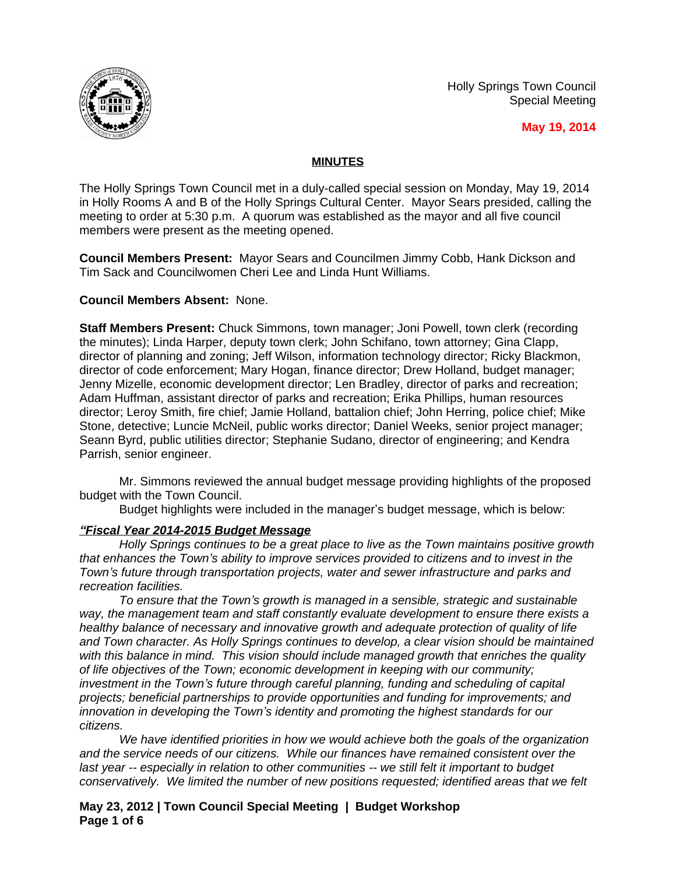Holly Springs Town Council Special Meeting



**May 19, 2014**

# **MINUTES**

The Holly Springs Town Council met in a duly-called special session on Monday, May 19, 2014 in Holly Rooms A and B of the Holly Springs Cultural Center. Mayor Sears presided, calling the meeting to order at 5:30 p.m. A quorum was established as the mayor and all five council members were present as the meeting opened.

**Council Members Present:** Mayor Sears and Councilmen Jimmy Cobb, Hank Dickson and Tim Sack and Councilwomen Cheri Lee and Linda Hunt Williams.

## **Council Members Absent:** None.

**Staff Members Present:** Chuck Simmons, town manager; Joni Powell, town clerk (recording the minutes); Linda Harper, deputy town clerk; John Schifano, town attorney; Gina Clapp, director of planning and zoning; Jeff Wilson, information technology director; Ricky Blackmon, director of code enforcement; Mary Hogan, finance director; Drew Holland, budget manager; Jenny Mizelle, economic development director; Len Bradley, director of parks and recreation; Adam Huffman, assistant director of parks and recreation; Erika Phillips, human resources director; Leroy Smith, fire chief; Jamie Holland, battalion chief; John Herring, police chief; Mike Stone, detective; Luncie McNeil, public works director; Daniel Weeks, senior project manager; Seann Byrd, public utilities director; Stephanie Sudano, director of engineering; and Kendra Parrish, senior engineer.

Mr. Simmons reviewed the annual budget message providing highlights of the proposed budget with the Town Council.

Budget highlights were included in the manager's budget message, which is below:

## *"Fiscal Year 2014-2015 Budget Message*

*Holly Springs continues to be a great place to live as the Town maintains positive growth that enhances the Town's ability to improve services provided to citizens and to invest in the Town's future through transportation projects, water and sewer infrastructure and parks and recreation facilities.*

*To ensure that the Town's growth is managed in a sensible, strategic and sustainable way, the management team and staff constantly evaluate development to ensure there exists a healthy balance of necessary and innovative growth and adequate protection of quality of life and Town character. As Holly Springs continues to develop, a clear vision should be maintained with this balance in mind. This vision should include managed growth that enriches the quality of life objectives of the Town; economic development in keeping with our community; investment in the Town's future through careful planning, funding and scheduling of capital projects; beneficial partnerships to provide opportunities and funding for improvements; and innovation in developing the Town's identity and promoting the highest standards for our citizens.*

*We have identified priorities in how we would achieve both the goals of the organization and the service needs of our citizens. While our finances have remained consistent over the last year -- especially in relation to other communities -- we still felt it important to budget conservatively. We limited the number of new positions requested; identified areas that we felt* 

**May 23, 2012 | Town Council Special Meeting | Budget Workshop Page 1 of 6**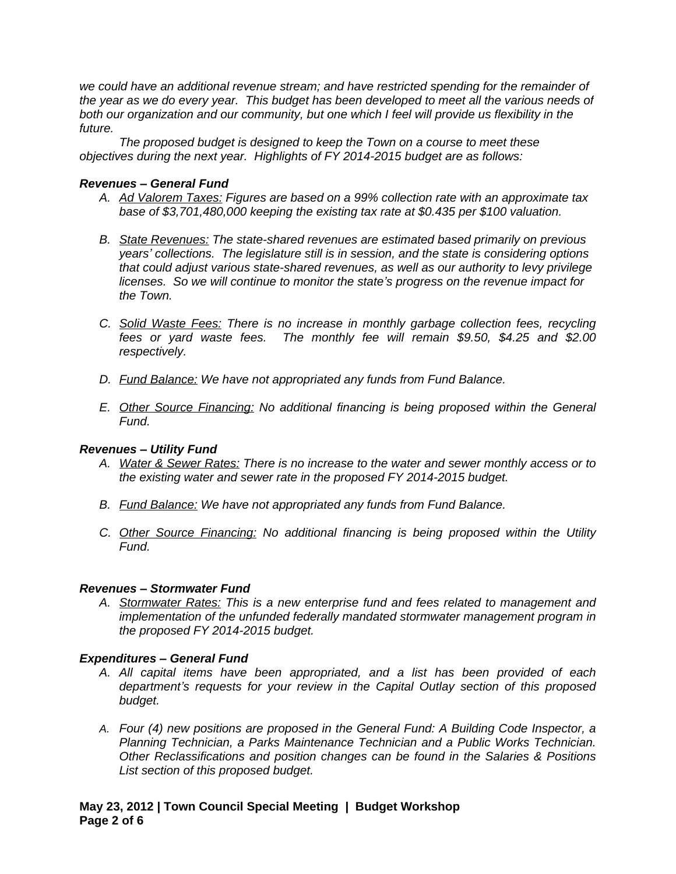*we could have an additional revenue stream; and have restricted spending for the remainder of the year as we do every year. This budget has been developed to meet all the various needs of both our organization and our community, but one which I feel will provide us flexibility in the future.*

*The proposed budget is designed to keep the Town on a course to meet these objectives during the next year. Highlights of FY 2014-2015 budget are as follows:*

#### *Revenues – General Fund*

- *A. Ad Valorem Taxes: Figures are based on a 99% collection rate with an approximate tax base of \$3,701,480,000 keeping the existing tax rate at \$0.435 per \$100 valuation.*
- *B. State Revenues: The state-shared revenues are estimated based primarily on previous years' collections. The legislature still is in session, and the state is considering options that could adjust various state-shared revenues, as well as our authority to levy privilege licenses. So we will continue to monitor the state's progress on the revenue impact for the Town.*
- *C. Solid Waste Fees: There is no increase in monthly garbage collection fees, recycling fees or yard waste fees. The monthly fee will remain \$9.50, \$4.25 and \$2.00 respectively.*
- *D. Fund Balance: We have not appropriated any funds from Fund Balance.*
- *E. Other Source Financing: No additional financing is being proposed within the General Fund.*

## *Revenues – Utility Fund*

- *A. Water & Sewer Rates: There is no increase to the water and sewer monthly access or to the existing water and sewer rate in the proposed FY 2014-2015 budget.*
- *B. Fund Balance: We have not appropriated any funds from Fund Balance.*
- *C. Other Source Financing: No additional financing is being proposed within the Utility Fund.*

#### *Revenues – Stormwater Fund*

*A. Stormwater Rates: This is a new enterprise fund and fees related to management and implementation of the unfunded federally mandated stormwater management program in the proposed FY 2014-2015 budget.* 

## *Expenditures – General Fund*

- *A. All capital items have been appropriated, and a list has been provided of each department's requests for your review in the Capital Outlay section of this proposed budget.*
- *A. Four (4) new positions are proposed in the General Fund: A Building Code Inspector, a Planning Technician, a Parks Maintenance Technician and a Public Works Technician. Other Reclassifications and position changes can be found in the Salaries & Positions List section of this proposed budget.*

## **May 23, 2012 | Town Council Special Meeting | Budget Workshop Page 2 of 6**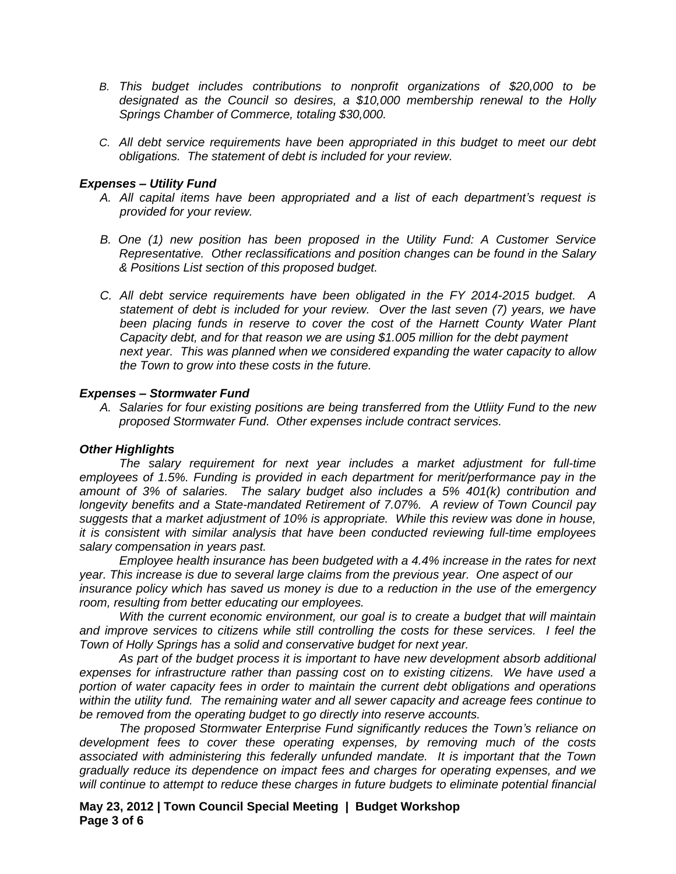- *B. This budget includes contributions to nonprofit organizations of \$20,000 to be designated as the Council so desires, a \$10,000 membership renewal to the Holly Springs Chamber of Commerce, totaling \$30,000.*
- *C. All debt service requirements have been appropriated in this budget to meet our debt obligations. The statement of debt is included for your review.*

#### *Expenses – Utility Fund*

- *A. All capital items have been appropriated and a list of each department's request is provided for your review.*
- *B. One (1) new position has been proposed in the Utility Fund: A Customer Service Representative. Other reclassifications and position changes can be found in the Salary & Positions List section of this proposed budget.*
- *C. All debt service requirements have been obligated in the FY 2014-2015 budget. A statement of debt is included for your review. Over the last seven (7) years, we have been placing funds in reserve to cover the cost of the Harnett County Water Plant Capacity debt, and for that reason we are using \$1.005 million for the debt payment next year. This was planned when we considered expanding the water capacity to allow the Town to grow into these costs in the future.*

#### *Expenses – Stormwater Fund*

*A. Salaries for four existing positions are being transferred from the Utliity Fund to the new proposed Stormwater Fund. Other expenses include contract services.*

#### *Other Highlights*

*The salary requirement for next year includes a market adjustment for full-time employees of 1.5%. Funding is provided in each department for merit/performance pay in the amount of 3% of salaries. The salary budget also includes a 5% 401(k) contribution and longevity benefits and a State-mandated Retirement of 7.07%. A review of Town Council pay suggests that a market adjustment of 10% is appropriate. While this review was done in house, it is consistent with similar analysis that have been conducted reviewing full-time employees salary compensation in years past.* 

*Employee health insurance has been budgeted with a 4.4% increase in the rates for next year. This increase is due to several large claims from the previous year. One aspect of our insurance policy which has saved us money is due to a reduction in the use of the emergency room, resulting from better educating our employees.*

*With the current economic environment, our goal is to create a budget that will maintain and improve services to citizens while still controlling the costs for these services. I feel the Town of Holly Springs has a solid and conservative budget for next year.*

*As part of the budget process it is important to have new development absorb additional expenses for infrastructure rather than passing cost on to existing citizens. We have used a portion of water capacity fees in order to maintain the current debt obligations and operations within the utility fund. The remaining water and all sewer capacity and acreage fees continue to be removed from the operating budget to go directly into reserve accounts.* 

*The proposed Stormwater Enterprise Fund significantly reduces the Town's reliance on development fees to cover these operating expenses, by removing much of the costs associated with administering this federally unfunded mandate. It is important that the Town gradually reduce its dependence on impact fees and charges for operating expenses, and we will continue to attempt to reduce these charges in future budgets to eliminate potential financial*

**May 23, 2012 | Town Council Special Meeting | Budget Workshop Page 3 of 6**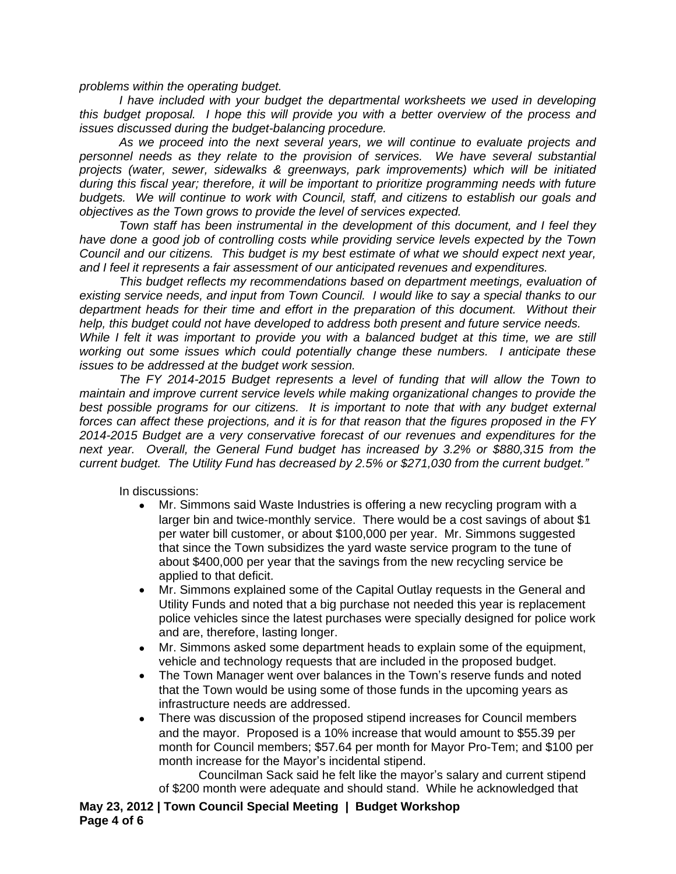*problems within the operating budget.*

*I have included with your budget the departmental worksheets we used in developing this budget proposal. I hope this will provide you with a better overview of the process and issues discussed during the budget-balancing procedure.*

*As we proceed into the next several years, we will continue to evaluate projects and personnel needs as they relate to the provision of services. We have several substantial projects (water, sewer, sidewalks & greenways, park improvements) which will be initiated during this fiscal year; therefore, it will be important to prioritize programming needs with future budgets. We will continue to work with Council, staff, and citizens to establish our goals and objectives as the Town grows to provide the level of services expected.*

*Town staff has been instrumental in the development of this document, and I feel they have done a good job of controlling costs while providing service levels expected by the Town Council and our citizens. This budget is my best estimate of what we should expect next year, and I feel it represents a fair assessment of our anticipated revenues and expenditures.*

*This budget reflects my recommendations based on department meetings, evaluation of existing service needs, and input from Town Council. I would like to say a special thanks to our department heads for their time and effort in the preparation of this document. Without their help, this budget could not have developed to address both present and future service needs.*

While I felt it was important to provide you with a balanced budget at this time, we are still *working out some issues which could potentially change these numbers. I anticipate these issues to be addressed at the budget work session.* 

*The FY 2014-2015 Budget represents a level of funding that will allow the Town to maintain and improve current service levels while making organizational changes to provide the best possible programs for our citizens. It is important to note that with any budget external forces can affect these projections, and it is for that reason that the figures proposed in the FY 2014-2015 Budget are a very conservative forecast of our revenues and expenditures for the next year. Overall, the General Fund budget has increased by 3.2% or \$880,315 from the current budget. The Utility Fund has decreased by 2.5% or \$271,030 from the current budget."*

In discussions:

- Mr. Simmons said Waste Industries is offering a new recycling program with a larger bin and twice-monthly service. There would be a cost savings of about \$1 per water bill customer, or about \$100,000 per year. Mr. Simmons suggested that since the Town subsidizes the yard waste service program to the tune of about \$400,000 per year that the savings from the new recycling service be applied to that deficit.
- Mr. Simmons explained some of the Capital Outlay requests in the General and Utility Funds and noted that a big purchase not needed this year is replacement police vehicles since the latest purchases were specially designed for police work and are, therefore, lasting longer.
- Mr. Simmons asked some department heads to explain some of the equipment, vehicle and technology requests that are included in the proposed budget.
- The Town Manager went over balances in the Town's reserve funds and noted that the Town would be using some of those funds in the upcoming years as infrastructure needs are addressed.
- There was discussion of the proposed stipend increases for Council members and the mayor. Proposed is a 10% increase that would amount to \$55.39 per month for Council members; \$57.64 per month for Mayor Pro-Tem; and \$100 per month increase for the Mayor's incidental stipend.

Councilman Sack said he felt like the mayor's salary and current stipend of \$200 month were adequate and should stand. While he acknowledged that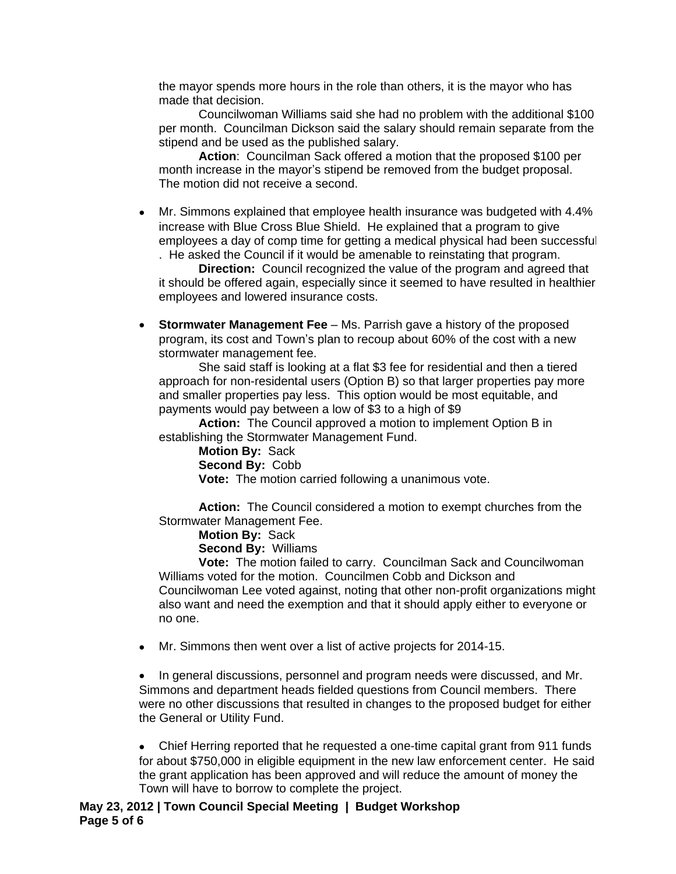the mayor spends more hours in the role than others, it is the mayor who has made that decision.

Councilwoman Williams said she had no problem with the additional \$100 per month. Councilman Dickson said the salary should remain separate from the stipend and be used as the published salary.

**Action**: Councilman Sack offered a motion that the proposed \$100 per month increase in the mayor's stipend be removed from the budget proposal. The motion did not receive a second.

 Mr. Simmons explained that employee health insurance was budgeted with 4.4% increase with Blue Cross Blue Shield. He explained that a program to give employees a day of comp time for getting a medical physical had been successful . He asked the Council if it would be amenable to reinstating that program.

**Direction:** Council recognized the value of the program and agreed that it should be offered again, especially since it seemed to have resulted in healthier employees and lowered insurance costs.

 **Stormwater Management Fee** – Ms. Parrish gave a history of the proposed program, its cost and Town's plan to recoup about 60% of the cost with a new stormwater management fee.

She said staff is looking at a flat \$3 fee for residential and then a tiered approach for non-residental users (Option B) so that larger properties pay more and smaller properties pay less. This option would be most equitable, and payments would pay between a low of \$3 to a high of \$9

**Action:** The Council approved a motion to implement Option B in establishing the Stormwater Management Fund.

**Motion By:** Sack **Second By:** Cobb **Vote:** The motion carried following a unanimous vote.

**Action:** The Council considered a motion to exempt churches from the Stormwater Management Fee.

**Motion By:** Sack **Second By:** Williams

**Vote:** The motion failed to carry. Councilman Sack and Councilwoman Williams voted for the motion. Councilmen Cobb and Dickson and Councilwoman Lee voted against, noting that other non-profit organizations might also want and need the exemption and that it should apply either to everyone or no one.

Mr. Simmons then went over a list of active projects for 2014-15.

• In general discussions, personnel and program needs were discussed, and Mr. Simmons and department heads fielded questions from Council members. There were no other discussions that resulted in changes to the proposed budget for either the General or Utility Fund.

 Chief Herring reported that he requested a one-time capital grant from 911 funds for about \$750,000 in eligible equipment in the new law enforcement center. He said the grant application has been approved and will reduce the amount of money the Town will have to borrow to complete the project.